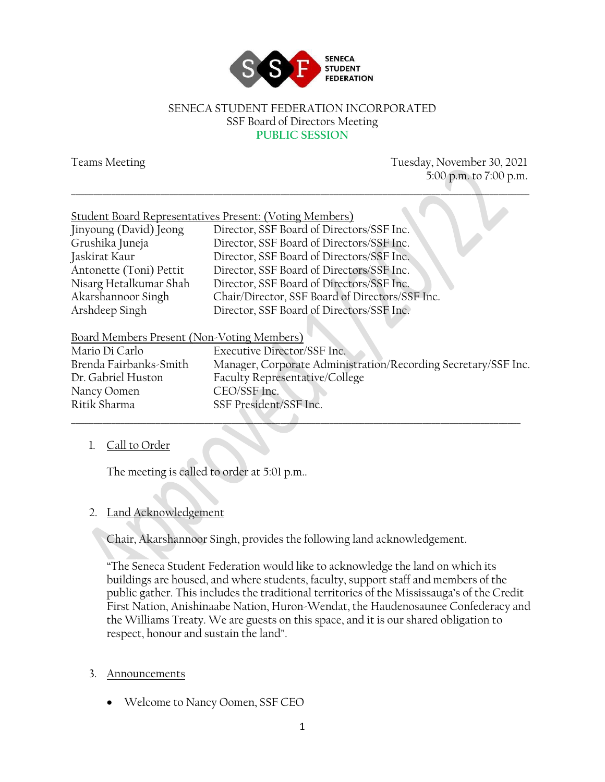

#### SENECA STUDENT FEDERATION INCORPORATED SSF Board of Directors Meeting **PUBLIC SESSION**

Teams Meeting Tuesday, November 30, 2021 5:00 p.m. to 7:00 p.m. \_\_\_\_\_\_\_\_\_\_\_\_\_\_\_\_\_\_\_\_\_\_\_\_\_\_\_\_\_\_\_\_\_\_\_\_\_\_\_\_\_\_\_\_\_\_\_\_\_\_\_\_\_\_\_\_\_\_\_\_\_\_\_\_\_\_\_\_\_\_\_\_\_\_\_\_\_\_\_\_\_\_\_\_\_\_\_\_\_\_\_\_\_\_\_\_\_\_\_\_\_\_\_

|                                            | Student Board Representatives Present: (Voting Members)        |
|--------------------------------------------|----------------------------------------------------------------|
| Jinyoung (David) Jeong                     | Director, SSF Board of Directors/SSF Inc.                      |
| Grushika Juneja                            | Director, SSF Board of Directors/SSF Inc.                      |
| Jaskirat Kaur                              | Director, SSF Board of Directors/SSF Inc.                      |
| Antonette (Toni) Pettit                    | Director, SSF Board of Directors/SSF Inc.                      |
| Nisarg Hetalkumar Shah                     | Director, SSF Board of Directors/SSF Inc.                      |
| Akarshannoor Singh                         | Chair/Director, SSF Board of Directors/SSF Inc.                |
| Arshdeep Singh                             | Director, SSF Board of Directors/SSF Inc.                      |
|                                            |                                                                |
| Board Members Present (Non-Voting Members) |                                                                |
| Mario Di Carlo                             | Executive Director/SSF Inc.                                    |
| Brenda Fairbanks-Smith                     | Manager, Corporate Administration/Recording Secretary/SSF Inc. |
| Dr. Gabriel Huston                         | Faculty Representative/College                                 |

 $\Box$ 

# 1. Call to Order

The meeting is called to order at 5:01 p.m..

## 2. Land Acknowledgement

Nancy Oomen CEO/SSF Inc.

Ritik Sharma SSF President/SSF Inc.

Chair, Akarshannoor Singh, provides the following land acknowledgement.

"The Seneca Student Federation would like to acknowledge the land on which its buildings are housed, and where students, faculty, support staff and members of the public gather. This includes the traditional territories of the Mississauga's of the Credit First Nation, Anishinaabe Nation, Huron-Wendat, the Haudenosaunee Confederacy and the Williams Treaty. We are guests on this space, and it is our shared obligation to respect, honour and sustain the land".

#### 3. Announcements

• Welcome to Nancy Oomen, SSF CEO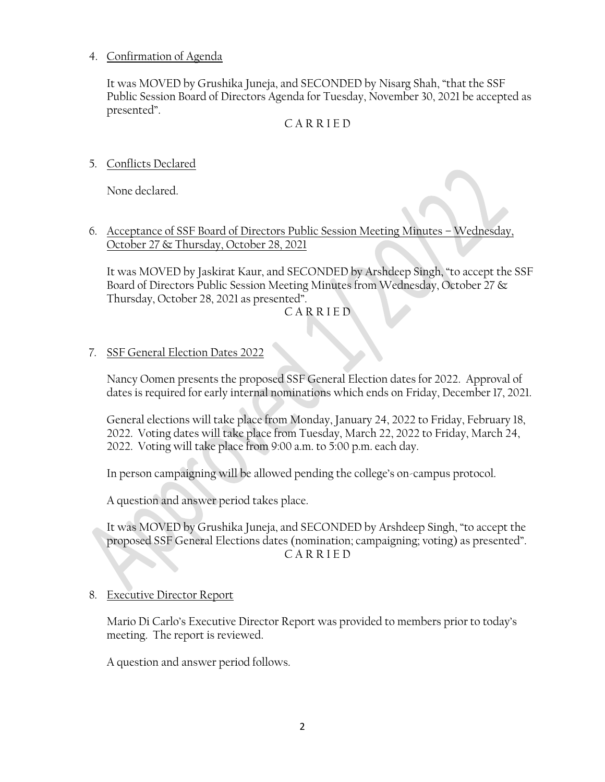#### 4. Confirmation of Agenda

It was MOVED by Grushika Juneja, and SECONDED by Nisarg Shah, "that the SSF Public Session Board of Directors Agenda for Tuesday, November 30, 2021 be accepted as presented".

#### C A R R I E D

5. Conflicts Declared

None declared.

6. Acceptance of SSF Board of Directors Public Session Meeting Minutes – Wednesday, October 27 & Thursday, October 28, 2021

It was MOVED by Jaskirat Kaur, and SECONDED by Arshdeep Singh, "to accept the SSF Board of Directors Public Session Meeting Minutes from Wednesday, October 27 & Thursday, October 28, 2021 as presented".

C A R R I E D

#### 7. SSF General Election Dates 2022

Nancy Oomen presents the proposed SSF General Election dates for 2022. Approval of dates is required for early internal nominations which ends on Friday, December 17, 2021.

General elections will take place from Monday, January 24, 2022 to Friday, February 18, 2022. Voting dates will take place from Tuesday, March 22, 2022 to Friday, March 24, 2022. Voting will take place from 9:00 a.m. to 5:00 p.m. each day.

In person campaigning will be allowed pending the college's on-campus protocol.

A question and answer period takes place.

It was MOVED by Grushika Juneja, and SECONDED by Arshdeep Singh, "to accept the proposed SSF General Elections dates (nomination; campaigning; voting) as presented". C A R R I E D

#### 8. Executive Director Report

Mario Di Carlo's Executive Director Report was provided to members prior to today's meeting. The report is reviewed.

A question and answer period follows.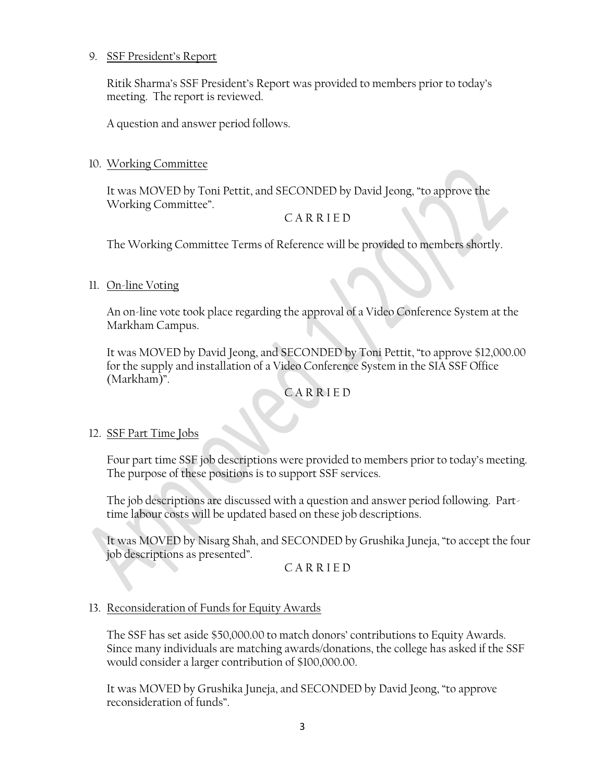#### 9. SSF President's Report

Ritik Sharma's SSF President's Report was provided to members prior to today's meeting. The report is reviewed.

A question and answer period follows.

#### 10. Working Committee

It was MOVED by Toni Pettit, and SECONDED by David Jeong, "to approve the Working Committee".

## C A R R I E D

The Working Committee Terms of Reference will be provided to members shortly.

### 11. On-line Voting

An on-line vote took place regarding the approval of a Video Conference System at the Markham Campus.

It was MOVED by David Jeong, and SECONDED by Toni Pettit, "to approve \$12,000.00 for the supply and installation of a Video Conference System in the SIA SSF Office (Markham)".

## C A R R I E D

#### 12. SSF Part Time Jobs

Four part time SSF job descriptions were provided to members prior to today's meeting. The purpose of these positions is to support SSF services.

The job descriptions are discussed with a question and answer period following. Parttime labour costs will be updated based on these job descriptions.

It was MOVED by Nisarg Shah, and SECONDED by Grushika Juneja, "to accept the four job descriptions as presented".

C A R R I E D

#### 13. Reconsideration of Funds for Equity Awards

The SSF has set aside \$50,000.00 to match donors' contributions to Equity Awards. Since many individuals are matching awards/donations, the college has asked if the SSF would consider a larger contribution of \$100,000.00.

It was MOVED by Grushika Juneja, and SECONDED by David Jeong, "to approve reconsideration of funds".